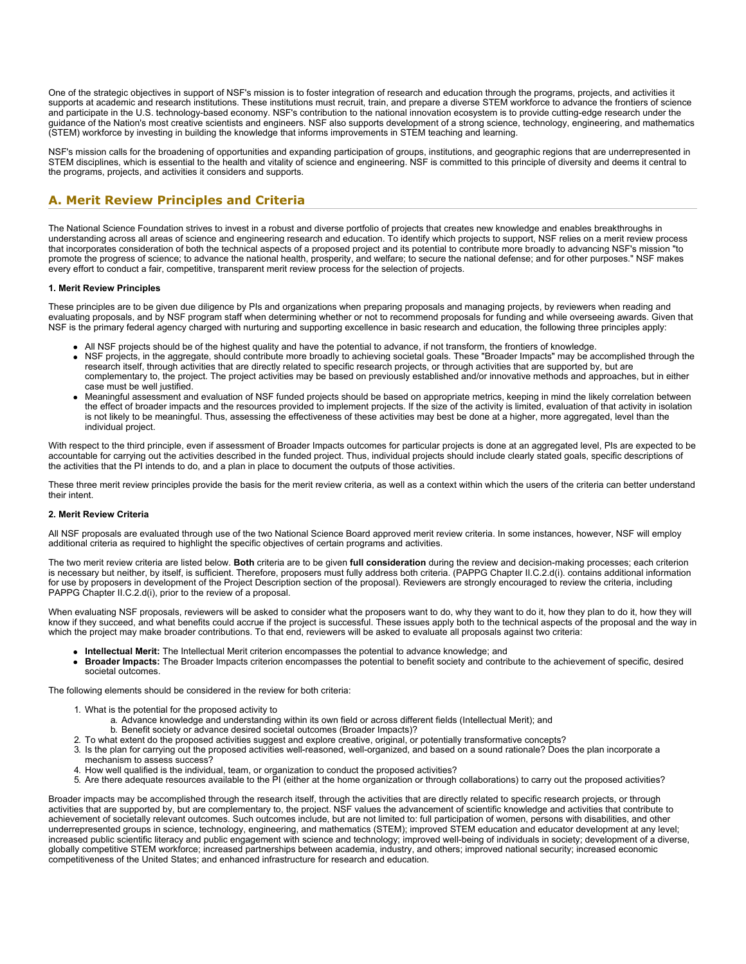One of the strategic objectives in support of NSF's mission is to foster integration of research and education through the programs, projects, and activities it supports at academic and research institutions. These institutions must recruit, train, and prepare a diverse STEM workforce to advance the frontiers of science and participate in the U.S. technology-based economy. NSF's contribution to the national innovation ecosystem is to provide cutting-edge research under the guidance of the Nation's most creative scientists and engineers. NSF also supports development of a strong science, technology, engineering, and mathematics (STEM) workforce by investing in building the knowledge that informs improvements in STEM teaching and learning.

NSF's mission calls for the broadening of opportunities and expanding participation of groups, institutions, and geographic regions that are underrepresented in STEM disciplines, which is essential to the health and vitality of science and engineering. NSF is committed to this principle of diversity and deems it central to the programs, projects, and activities it considers and supports.

# **A. Merit Review Principles and Criteria**

The National Science Foundation strives to invest in a robust and diverse portfolio of projects that creates new knowledge and enables breakthroughs in understanding across all areas of science and engineering research and education. To identify which projects to support, NSF relies on a merit review process that incorporates consideration of both the technical aspects of a proposed project and its potential to contribute more broadly to advancing NSF's mission "to promote the progress of science; to advance the national health, prosperity, and welfare; to secure the national defense; and for other purposes." NSF makes every effort to conduct a fair, competitive, transparent merit review process for the selection of projects.

### **1. Merit Review Principles**

These principles are to be given due diligence by PIs and organizations when preparing proposals and managing projects, by reviewers when reading and evaluating proposals, and by NSF program staff when determining whether or not to recommend proposals for funding and while overseeing awards. Given that NSF is the primary federal agency charged with nurturing and supporting excellence in basic research and education, the following three principles apply:

- All NSF projects should be of the highest quality and have the potential to advance, if not transform, the frontiers of knowledge.
- NSF projects, in the aggregate, should contribute more broadly to achieving societal goals. These "Broader Impacts" may be accomplished through the research itself, through activities that are directly related to specific research projects, or through activities that are supported by, but are complementary to, the project. The project activities may be based on previously established and/or innovative methods and approaches, but in either case must be well justified.
- Meaningful assessment and evaluation of NSF funded projects should be based on appropriate metrics, keeping in mind the likely correlation between the effect of broader impacts and the resources provided to implement projects. If the size of the activity is limited, evaluation of that activity in isolation is not likely to be meaningful. Thus, assessing the effectiveness of these activities may best be done at a higher, more aggregated, level than the individual project.

With respect to the third principle, even if assessment of Broader Impacts outcomes for particular projects is done at an aggregated level, PIs are expected to be accountable for carrying out the activities described in the funded project. Thus, individual projects should include clearly stated goals, specific descriptions of the activities that the PI intends to do, and a plan in place to document the outputs of those activities.

These three merit review principles provide the basis for the merit review criteria, as well as a context within which the users of the criteria can better understand their intent.

### **2. Merit Review Criteria**

All NSF proposals are evaluated through use of the two National Science Board approved merit review criteria. In some instances, however, NSF will employ additional criteria as required to highlight the specific objectives of certain programs and activities.

The two merit review criteria are listed below. **Both** criteria are to be given **full consideration** during the review and decision-making processes; each criterion is necessary but neither, by itself, is sufficient. Therefore, proposers must fully address both criteria. (PAPPG Chapter II.C.2.d(i). contains additional information for use by proposers in development of the Project Description section of the proposal). Reviewers are strongly encouraged to review the criteria, including PAPPG Chapter II.C.2.d(i), prior to the review of a proposal.

When evaluating NSF proposals, reviewers will be asked to consider what the proposers want to do, why they want to do it, how they plan to do it, how they will know if they succeed, and what benefits could accrue if the project is successful. These issues apply both to the technical aspects of the proposal and the way in which the project may make broader contributions. To that end, reviewers will be asked to evaluate all proposals against two criteria:

- **Intellectual Merit:** The Intellectual Merit criterion encompasses the potential to advance knowledge; and
- **Broader Impacts:** The Broader Impacts criterion encompasses the potential to benefit society and contribute to the achievement of specific, desired societal outcomes.

The following elements should be considered in the review for both criteria:

- 1. What is the potential for the proposed activity to
	- a. Advance knowledge and understanding within its own field or across different fields (Intellectual Merit); and
	- b. Benefit society or advance desired societal outcomes (Broader Impacts)?
- 2. To what extent do the proposed activities suggest and explore creative, original, or potentially transformative concepts?
- 3. Is the plan for carrying out the proposed activities well-reasoned, well-organized, and based on a sound rationale? Does the plan incorporate a mechanism to assess success?
- 4. How well qualified is the individual, team, or organization to conduct the proposed activities?
- 5. Are there adequate resources available to the PI (either at the home organization or through collaborations) to carry out the proposed activities?

Broader impacts may be accomplished through the research itself, through the activities that are directly related to specific research projects, or through activities that are supported by, but are complementary to, the project. NSF values the advancement of scientific knowledge and activities that contribute to achievement of societally relevant outcomes. Such outcomes include, but are not limited to: full participation of women, persons with disabilities, and other underrepresented groups in science, technology, engineering, and mathematics (STEM); improved STEM education and educator development at any level; increased public scientific literacy and public engagement with science and technology; improved well-being of individuals in society; development of a diverse, globally competitive STEM workforce; increased partnerships between academia, industry, and others; improved national security; increased economic competitiveness of the United States; and enhanced infrastructure for research and education.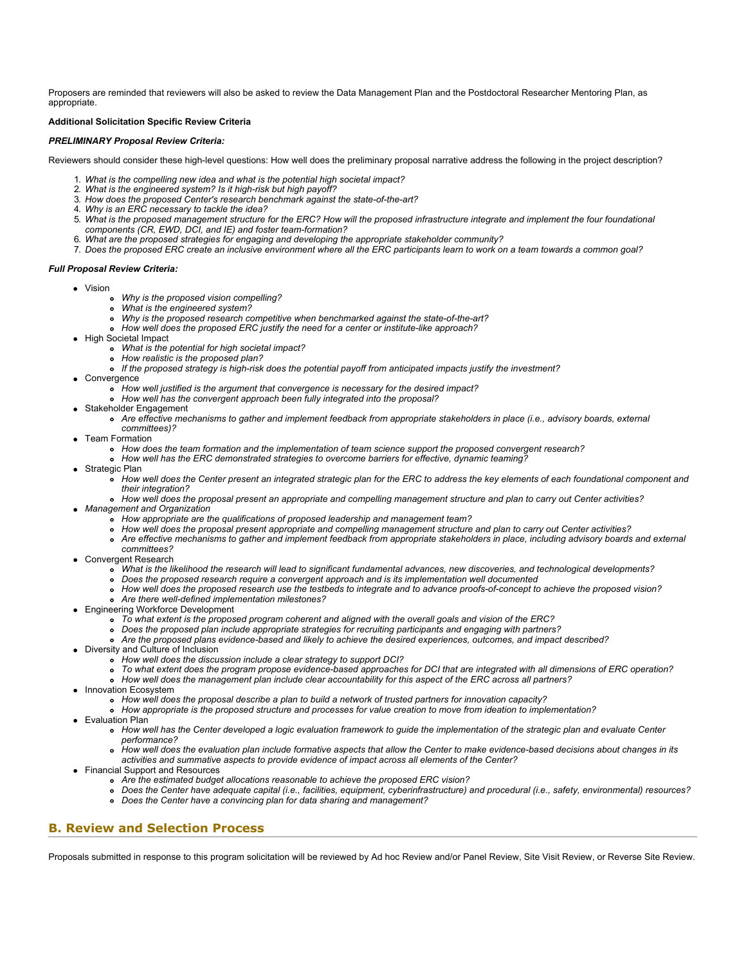Proposers are reminded that reviewers will also be asked to review the Data Management Plan and the Postdoctoral Researcher Mentoring Plan, as appropriate.

### **Additional Solicitation Specific Review Criteria**

### *PRELIMINARY Proposal Review Criteria:*

Reviewers should consider these high-level questions: How well does the preliminary proposal narrative address the following in the project description?

- 1. *What is the compelling new idea and what is the potential high societal impact?*
- 2. *What is the engineered system? Is it high-risk but high payoff?*
- 3. *How does the proposed Center's research benchmark against the state-of-the-art?*
- 4. *Why is an ERC necessary to tackle the idea?*
- 5. *What is the proposed management structure for the ERC? How will the proposed infrastructure integrate and implement the four foundational components (CR, EWD, DCI, and IE) and foster team-formation?*
- 6. *What are the proposed strategies for engaging and developing the appropriate stakeholder community?*
- 7. *Does the proposed ERC create an inclusive environment where all the ERC participants learn to work on a team towards a common goal?*

#### *Full Proposal Review Criteria:*

- Vision
	- *Why is the proposed vision compelling?*
		- *What is the engineered system?*
		- *Why is the proposed research competitive when benchmarked against the state-of-the-art?*
	- *How well does the proposed ERC justify the need for a center or institute-like approach?*
- High Societal Impact
	- *What is the potential for high societal impact?*
	- *How realistic is the proposed plan?*
	- *If the proposed strategy is high-risk does the potential payoff from anticipated impacts justify the investment?*
- Convergence
	- *How well justified is the argument that convergence is necessary for the desired impact?*
	- *How well has the convergent approach been fully integrated into the proposal?*
- Stakeholder Engagement
	- *Are effective mechanisms to gather and implement feedback from appropriate stakeholders in place (i.e., advisory boards, external committees)?*
- Team Formation
	- *How does the team formation and the implementation of team science support the proposed convergent research?*
	- *How well has the ERC demonstrated strategies to overcome barriers for effective, dynamic teaming?*
- Strategic Plan
	- *How well does the Center present an integrated strategic plan for the ERC to address the key elements of each foundational component and their integration?*
- *How well does the proposal present an appropriate and compelling management structure and plan to carry out Center activities? Management and Organization*
	- *How appropriate are the qualifications of proposed leadership and management team?*
	- *How well does the proposal present appropriate and compelling management structure and plan to carry out Center activities?*
	- *Are effective mechanisms to gather and implement feedback from appropriate stakeholders in place, including advisory boards and external*
	- *committees?*
	- Convergent Research
		- *What is the likelihood the research will lead to significant fundamental advances, new discoveries, and technological developments?*
		- *Does the proposed research require a convergent approach and is its implementation well documented*
		- *How well does the proposed research use the testbeds to integrate and to advance proofs-of-concept to achieve the proposed vision?*
	- *Are there well-defined implementation milestones?*
- Engineering Workforce Development
	- *To what extent is the proposed program coherent and aligned with the overall goals and vision of the ERC?*
	- *Does the proposed plan include appropriate strategies for recruiting participants and engaging with partners?*
	- *Are the proposed plans evidence-based and likely to achieve the desired experiences, outcomes, and impact described?*
- Diversity and Culture of Inclusion
	- *How well does the discussion include a clear strategy to support DCI?*
	- *To what extent does the program propose evidence-based approaches for DCI that are integrated with all dimensions of ERC operation?*
	- *How well does the management plan include clear accountability for this aspect of the ERC across all partners?*
- Innovation Ecosystem
	- *How well does the proposal describe a plan to build a network of trusted partners for innovation capacity?*
	- *How appropriate is the proposed structure and processes for value creation to move from ideation to implementation?*
- Evaluation Plan
	- *How well has the Center developed a logic evaluation framework to guide the implementation of the strategic plan and evaluate Center performance?*
	- *How well does the evaluation plan include formative aspects that allow the Center to make evidence-based decisions about changes in its activities and summative aspects to provide evidence of impact across all elements of the Center?*
- Financial Support and Resources
	- *Are the estimated budget allocations reasonable to achieve the proposed ERC vision?*
	- *Does the Center have adequate capital (i.e., facilities, equipment, cyberinfrastructure) and procedural (i.e., safety, environmental) resources?*
	- *Does the Center have a convincing plan for data sharing and management?*

## **B. Review and Selection Process**

Proposals submitted in response to this program solicitation will be reviewed by Ad hoc Review and/or Panel Review, Site Visit Review, or Reverse Site Review.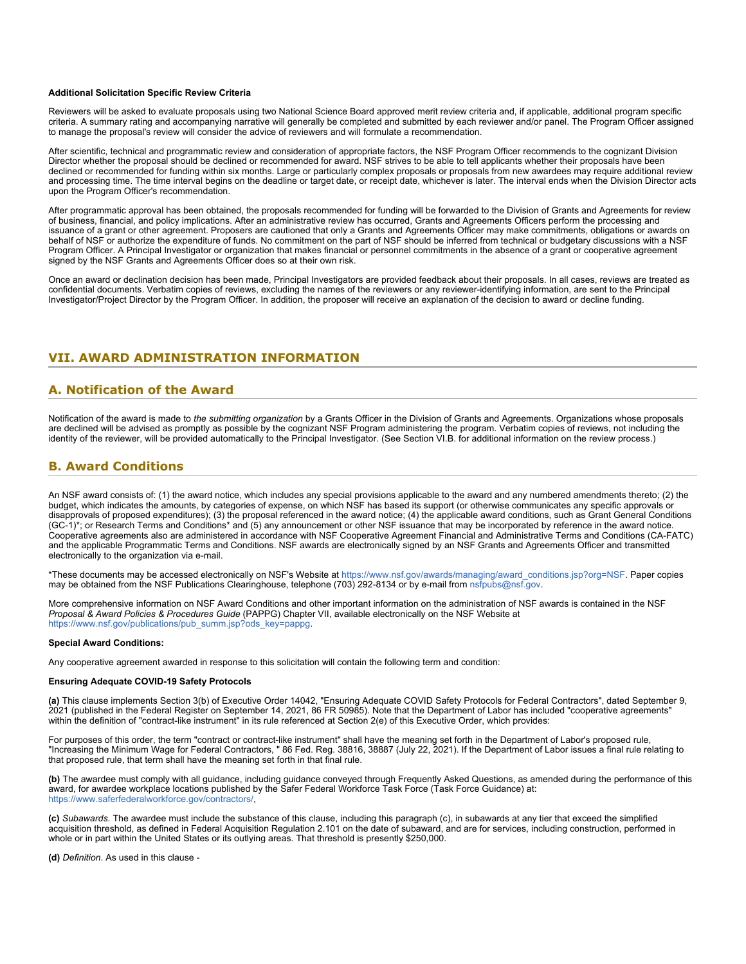#### **Additional Solicitation Specific Review Criteria**

Reviewers will be asked to evaluate proposals using two National Science Board approved merit review criteria and, if applicable, additional program specific criteria. A summary rating and accompanying narrative will generally be completed and submitted by each reviewer and/or panel. The Program Officer assigned to manage the proposal's review will consider the advice of reviewers and will formulate a recommendation.

After scientific, technical and programmatic review and consideration of appropriate factors, the NSF Program Officer recommends to the cognizant Division Director whether the proposal should be declined or recommended for award. NSF strives to be able to tell applicants whether their proposals have been declined or recommended for funding within six months. Large or particularly complex proposals or proposals from new awardees may require additional review and processing time. The time interval begins on the deadline or target date, or receipt date, whichever is later. The interval ends when the Division Director acts upon the Program Officer's recommendation.

After programmatic approval has been obtained, the proposals recommended for funding will be forwarded to the Division of Grants and Agreements for review of business, financial, and policy implications. After an administrative review has occurred, Grants and Agreements Officers perform the processing and issuance of a grant or other agreement. Proposers are cautioned that only a Grants and Agreements Officer may make commitments, obligations or awards on behalf of NSF or authorize the expenditure of funds. No commitment on the part of NSF should be inferred from technical or budgetary discussions with a NSF Program Officer. A Principal Investigator or organization that makes financial or personnel commitments in the absence of a grant or cooperative agreement signed by the NSF Grants and Agreements Officer does so at their own risk.

Once an award or declination decision has been made, Principal Investigators are provided feedback about their proposals. In all cases, reviews are treated as confidential documents. Verbatim copies of reviews, excluding the names of the reviewers or any reviewer-identifying information, are sent to the Principal Investigator/Project Director by the Program Officer. In addition, the proposer will receive an explanation of the decision to award or decline funding.

## **VII. AWARD ADMINISTRATION INFORMATION**

### **A. Notification of the Award**

Notification of the award is made to *the submitting organization* by a Grants Officer in the Division of Grants and Agreements. Organizations whose proposals are declined will be advised as promptly as possible by the cognizant NSF Program administering the program. Verbatim copies of reviews, not including the identity of the reviewer, will be provided automatically to the Principal Investigator. (See Section VI.B. for additional information on the review process.)

### **B. Award Conditions**

An NSF award consists of: (1) the award notice, which includes any special provisions applicable to the award and any numbered amendments thereto; (2) the budget, which indicates the amounts, by categories of expense, on which NSF has based its support (or otherwise communicates any specific approvals or disapprovals of proposed expenditures); (3) the proposal referenced in the award notice; (4) the applicable award conditions, such as Grant General Conditions (GC-1)\*; or Research Terms and Conditions\* and (5) any announcement or other NSF issuance that may be incorporated by reference in the award notice. Cooperative agreements also are administered in accordance with NSF Cooperative Agreement Financial and Administrative Terms and Conditions (CA-FATC) and the applicable Programmatic Terms and Conditions. NSF awards are electronically signed by an NSF Grants and Agreements Officer and transmitted electronically to the organization via e-mail.

\*These documents may be accessed electronically on NSF's Website at [https://www.nsf.gov/awards/managing/award\\_conditions.jsp?org=NSF](https://www.nsf.gov/awards/managing/award_conditions.jsp?org=NSF). Paper copies may be obtained from the NSF Publications Clearinghouse, telephone (703) 292-8134 or by e-mail from [nsfpubs@nsf.gov.](mailto:nsfpubs@nsf.gov)

More comprehensive information on NSF Award Conditions and other important information on the administration of NSF awards is contained in the NSF *Proposal & Award Policies & Procedures Guide* (PAPPG) Chapter VII, available electronically on the NSF Website at [https://www.nsf.gov/publications/pub\\_summ.jsp?ods\\_key=pappg.](https://www.nsf.gov/publications/pub_summ.jsp?ods_key=pappg)

#### **Special Award Conditions:**

Any cooperative agreement awarded in response to this solicitation will contain the following term and condition:

### **Ensuring Adequate COVID-19 Safety Protocols**

**(a)** This clause implements Section 3(b) of Executive Order 14042, "Ensuring Adequate COVID Safety Protocols for Federal Contractors", dated September 9, 2021 (published in the Federal Register on September 14, 2021, 86 FR 50985). Note that the Department of Labor has included "cooperative agreements" within the definition of "contract-like instrument" in its rule referenced at Section 2(e) of this Executive Order, which provides:

For purposes of this order, the term "contract or contract-like instrument" shall have the meaning set forth in the Department of Labor's proposed rule, "Increasing the Minimum Wage for Federal Contractors, " 86 Fed. Reg. 38816, 38887 (July 22, 2021). If the Department of Labor issues a final rule relating to that proposed rule, that term shall have the meaning set forth in that final rule.

**(b)** The awardee must comply with all guidance, including guidance conveyed through Frequently Asked Questions, as amended during the performance of this award, for awardee workplace locations published by the Safer Federal Workforce Task Force (Task Force Guidance) at: <https://www.saferfederalworkforce.gov/contractors/>,

**(c)** *Subawards*. The awardee must include the substance of this clause, including this paragraph (c), in subawards at any tier that exceed the simplified acquisition threshold, as defined in Federal Acquisition Regulation 2.101 on the date of subaward, and are for services, including construction, performed in whole or in part within the United States or its outlying areas. That threshold is presently \$250,000.

**(d)** *Definition*. As used in this clause -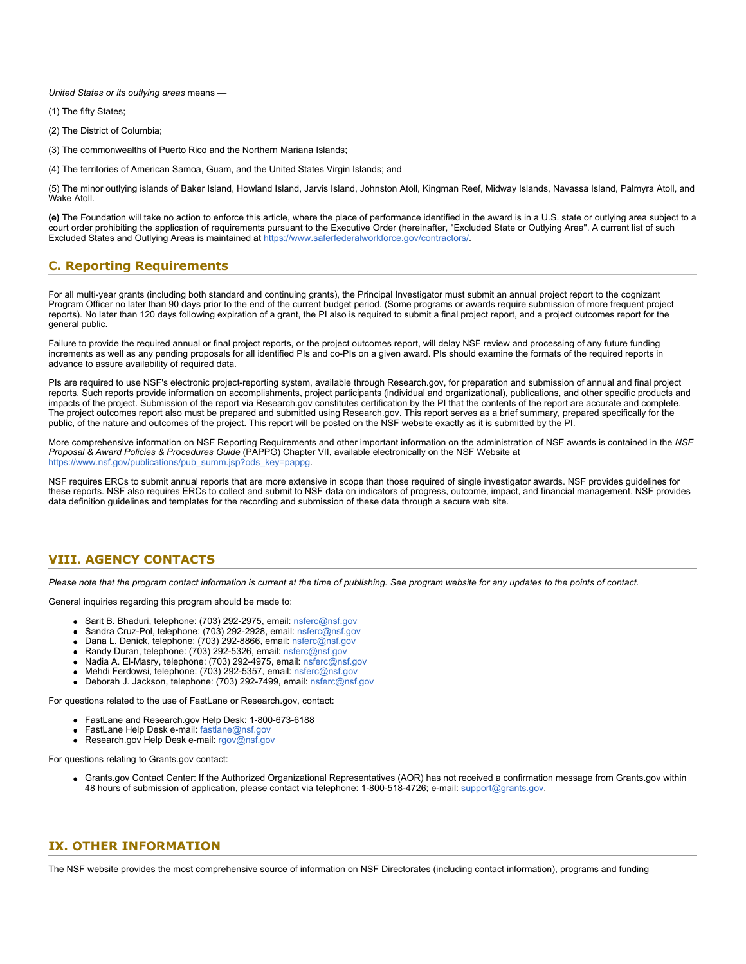*United States or its outlying areas* means —

- (1) The fifty States;
- (2) The District of Columbia;
- (3) The commonwealths of Puerto Rico and the Northern Mariana Islands;
- (4) The territories of American Samoa, Guam, and the United States Virgin Islands; and

(5) The minor outlying islands of Baker Island, Howland Island, Jarvis Island, Johnston Atoll, Kingman Reef, Midway Islands, Navassa Island, Palmyra Atoll, and Wake Atoll.

**(e)** The Foundation will take no action to enforce this article, where the place of performance identified in the award is in a U.S. state or outlying area subject to a court order prohibiting the application of requirements pursuant to the Executive Order (hereinafter, "Excluded State or Outlying Area". A current list of such Excluded States and Outlying Areas is maintained at<https://www.saferfederalworkforce.gov/contractors/>.

## **C. Reporting Requirements**

For all multi-year grants (including both standard and continuing grants), the Principal Investigator must submit an annual project report to the cognizant Program Officer no later than 90 days prior to the end of the current budget period. (Some programs or awards require submission of more frequent project reports). No later than 120 days following expiration of a grant, the PI also is required to submit a final project report, and a project outcomes report for the general public.

Failure to provide the required annual or final project reports, or the project outcomes report, will delay NSF review and processing of any future funding increments as well as any pending proposals for all identified PIs and co-PIs on a given award. PIs should examine the formats of the required reports in advance to assure availability of required data.

PIs are required to use NSF's electronic project-reporting system, available through Research.gov, for preparation and submission of annual and final project reports. Such reports provide information on accomplishments, project participants (individual and organizational), publications, and other specific products and impacts of the project. Submission of the report via Research.gov constitutes certification by the PI that the contents of the report are accurate and complete. The project outcomes report also must be prepared and submitted using Research.gov. This report serves as a brief summary, prepared specifically for the public, of the nature and outcomes of the project. This report will be posted on the NSF website exactly as it is submitted by the PI.

More comprehensive information on NSF Reporting Requirements and other important information on the administration of NSF awards is contained in the *NSF Proposal & Award Policies & Procedures Guide* (PAPPG) Chapter VII, available electronically on the NSF Website at [https://www.nsf.gov/publications/pub\\_summ.jsp?ods\\_key=pappg.](https://www.nsf.gov/publications/pub_summ.jsp?ods_key=pappg)

NSF requires ERCs to submit annual reports that are more extensive in scope than those required of single investigator awards. NSF provides guidelines for these reports. NSF also requires ERCs to collect and submit to NSF data on indicators of progress, outcome, impact, and financial management. NSF provides data definition guidelines and templates for the recording and submission of these data through a secure web site.

## **VIII. AGENCY CONTACTS**

*Please note that the program contact information is current at the time of publishing. See program website for any updates to the points of contact.*

General inquiries regarding this program should be made to:

- Sarit B. Bhaduri, telephone: (703) 292-2975, email: [nsferc@nsf.gov](mailto:nsferc@nsf.gov)
- Sandra Cruz-Pol, telephone: (703) 292-2928, email: [nsferc@nsf.gov](mailto:nsferc@nsf.gov)
- Dana L. Denick, telephone: (703) 292-8866, email: [nsferc@nsf.gov](mailto:nsferc@nsf.gov)
- Randy Duran, telephone: (703) 292-5326, email: [nsferc@nsf.gov](mailto:nsferc@nsf.gov)
- Nadia A. El-Masry, telephone: (703) 292-4975, email: [nsferc@nsf.gov](mailto:nsferc@nsf.gov)
- Mehdi Ferdowsi, telephone: (703) 292-5357, email: [nsferc@nsf.gov](mailto:nsferc@nsf.gov)
- Deborah J. Jackson, telephone: (703) 292-7499, email: [nsferc@nsf.gov](mailto:nsferc@nsf.gov)

For questions related to the use of FastLane or Research.gov, contact:

- FastLane and Research.gov Help Desk: 1-800-673-6188
	- FastLane Help Desk e-mail: [fastlane@nsf.gov](mailto:fastlane@nsf.gov)
	- Research.gov Help Desk e-mail: [rgov@nsf.gov](mailto:rgov@nsf.gov)

For questions relating to Grants.gov contact:

Grants.gov Contact Center: If the Authorized Organizational Representatives (AOR) has not received a confirmation message from Grants.gov within 48 hours of submission of application, please contact via telephone: 1-800-518-4726; e-mail: [support@grants.gov](mailto:support@grants.gov).

### **IX. OTHER INFORMATION**

The NSF website provides the most comprehensive source of information on NSF Directorates (including contact information), programs and funding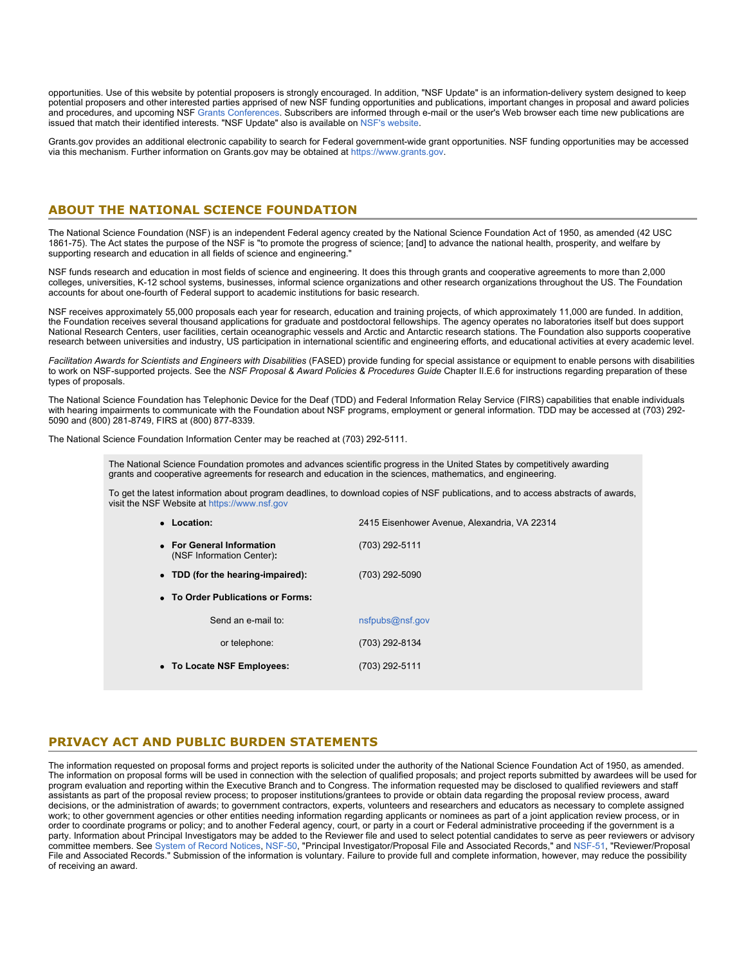opportunities. Use of this website by potential proposers is strongly encouraged. In addition, "NSF Update" is an information-delivery system designed to keep potential proposers and other interested parties apprised of new NSF funding opportunities and publications, important changes in proposal and award policies and procedures, and upcoming NSF [Grants Conferences](https://www.nsf.gov/bfa/dias/policy/outreach.jsp). Subscribers are informed through e-mail or the user's Web browser each time new publications are issued that match their identified interests. "NSF Update" also is available on [NSF's website](https://www.nsf.gov/cgi-bin/goodbye?https://public.govdelivery.com/accounts/USNSF/subscriber/new?topic_id=USNSF_179).

Grants.gov provides an additional electronic capability to search for Federal government-wide grant opportunities. NSF funding opportunities may be accessed via this mechanism. Further information on Grants.gov may be obtained at [https://www.grants.gov](https://www.grants.gov/).

## **ABOUT THE NATIONAL SCIENCE FOUNDATION**

The National Science Foundation (NSF) is an independent Federal agency created by the National Science Foundation Act of 1950, as amended (42 USC 1861-75). The Act states the purpose of the NSF is "to promote the progress of science; [and] to advance the national health, prosperity, and welfare by supporting research and education in all fields of science and engineering."

NSF funds research and education in most fields of science and engineering. It does this through grants and cooperative agreements to more than 2,000 colleges, universities, K-12 school systems, businesses, informal science organizations and other research organizations throughout the US. The Foundation accounts for about one-fourth of Federal support to academic institutions for basic research.

NSF receives approximately 55,000 proposals each year for research, education and training projects, of which approximately 11,000 are funded. In addition, the Foundation receives several thousand applications for graduate and postdoctoral fellowships. The agency operates no laboratories itself but does support National Research Centers, user facilities, certain oceanographic vessels and Arctic and Antarctic research stations. The Foundation also supports cooperative research between universities and industry, US participation in international scientific and engineering efforts, and educational activities at every academic level.

*Facilitation Awards for Scientists and Engineers with Disabilities* (FASED) provide funding for special assistance or equipment to enable persons with disabilities to work on NSF-supported projects. See the *NSF Proposal & Award Policies & Procedures Guide* Chapter II.E.6 for instructions regarding preparation of these types of proposals.

The National Science Foundation has Telephonic Device for the Deaf (TDD) and Federal Information Relay Service (FIRS) capabilities that enable individuals with hearing impairments to communicate with the Foundation about NSF programs, employment or general information. TDD may be accessed at (703) 292- 5090 and (800) 281-8749, FIRS at (800) 877-8339.

The National Science Foundation Information Center may be reached at (703) 292-5111.

The National Science Foundation promotes and advances scientific progress in the United States by competitively awarding grants and cooperative agreements for research and education in the sciences, mathematics, and engineering.

To get the latest information about program deadlines, to download copies of NSF publications, and to access abstracts of awards, visit the NSF Website at [https://www.nsf.gov](https://www.nsf.gov/)

| • Location:                                            | 2415 Eisenhower Avenue, Alexandria, VA 22314 |  |  |  |  |  |  |
|--------------------------------------------------------|----------------------------------------------|--|--|--|--|--|--|
| • For General Information<br>(NSF Information Center): | (703) 292-5111                               |  |  |  |  |  |  |
| • TDD (for the hearing-impaired):                      | (703) 292-5090                               |  |  |  |  |  |  |
| • To Order Publications or Forms:                      |                                              |  |  |  |  |  |  |
| Send an e-mail to:                                     | nsfpubs@nsf.gov                              |  |  |  |  |  |  |
| or telephone:                                          | (703) 292-8134                               |  |  |  |  |  |  |
| • To Locate NSF Employees:                             | (703) 292-5111                               |  |  |  |  |  |  |
|                                                        |                                              |  |  |  |  |  |  |

## **PRIVACY ACT AND PUBLIC BURDEN STATEMENTS**

The information requested on proposal forms and project reports is solicited under the authority of the National Science Foundation Act of 1950, as amended. The information on proposal forms will be used in connection with the selection of qualified proposals; and project reports submitted by awardees will be used for program evaluation and reporting within the Executive Branch and to Congress. The information requested may be disclosed to qualified reviewers and staff assistants as part of the proposal review process; to proposer institutions/grantees to provide or obtain data regarding the proposal review process, award decisions, or the administration of awards; to government contractors, experts, volunteers and researchers and educators as necessary to complete assigned work; to other government agencies or other entities needing information regarding applicants or nominees as part of a joint application review process, or in order to coordinate programs or policy; and to another Federal agency, court, or party in a court or Federal administrative proceeding if the government is a party. Information about Principal Investigators may be added to the Reviewer file and used to select potential candidates to serve as peer reviewers or advisory committee members. See [System of Record Notices](https://www.nsf.gov/privacy/), [NSF-50,](https://www.nsf.gov/policies/records/NSF-50_Principal_Investigator_Proposal_File_and_Associated_Records.pdf) "Principal Investigator/Proposal File and Associated Records," and [NSF-51,](https://www.nsf.gov/policies/SOR_PA_NSF-51_Reviewer_Proposal_File.pdf) "Reviewer/Proposal File and Associated Records." Submission of the information is voluntary. Failure to provide full and complete information, however, may reduce the possibility of receiving an award.